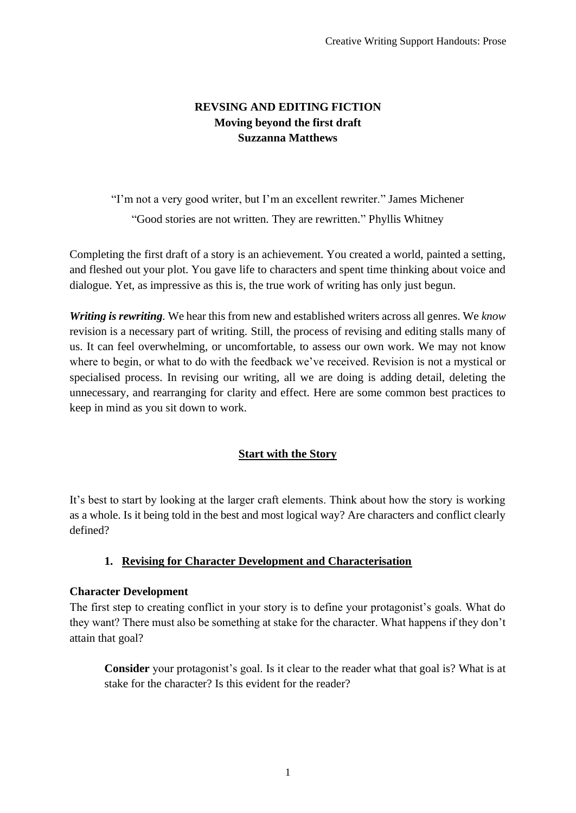# **REVSING AND EDITING FICTION Moving beyond the first draft Suzzanna Matthews**

"I'm not a very good writer, but I'm an excellent rewriter." James Michener "Good stories are not written. They are rewritten." Phyllis Whitney

Completing the first draft of a story is an achievement. You created a world, painted a setting, and fleshed out your plot. You gave life to characters and spent time thinking about voice and dialogue. Yet, as impressive as this is, the true work of writing has only just begun.

*Writing is rewriting.* We hear this from new and established writers across all genres. We *know* revision is a necessary part of writing*.* Still, the process of revising and editing stalls many of us. It can feel overwhelming, or uncomfortable, to assess our own work. We may not know where to begin, or what to do with the feedback we've received. Revision is not a mystical or specialised process. In revising our writing, all we are doing is adding detail, deleting the unnecessary, and rearranging for clarity and effect. Here are some common best practices to keep in mind as you sit down to work.

# **Start with the Story**

It's best to start by looking at the larger craft elements. Think about how the story is working as a whole. Is it being told in the best and most logical way? Are characters and conflict clearly defined?

# **1. Revising for Character Development and Characterisation**

# **Character Development**

The first step to creating conflict in your story is to define your protagonist's goals. What do they want? There must also be something at stake for the character. What happens if they don't attain that goal?

**Consider** your protagonist's goal. Is it clear to the reader what that goal is? What is at stake for the character? Is this evident for the reader?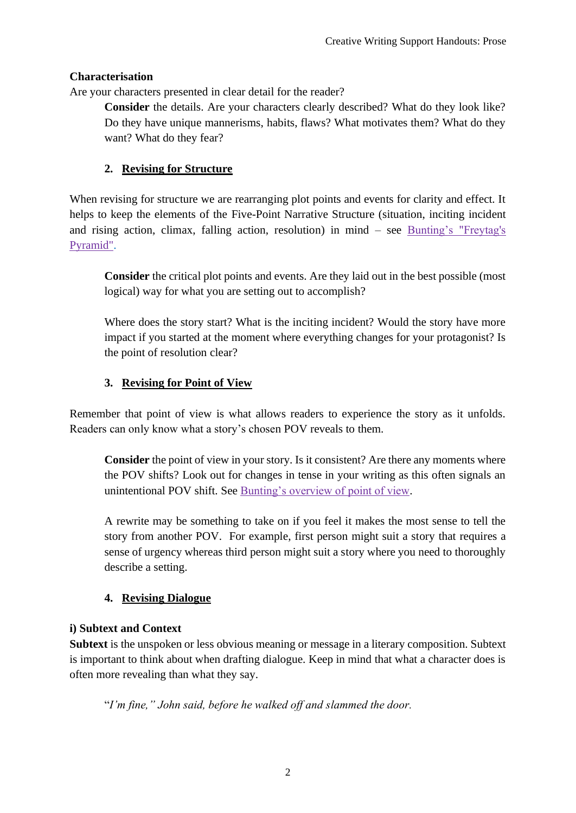# **Characterisation**

Are your characters presented in clear detail for the reader?

**Consider** the details. Are your characters clearly described? What do they look like? Do they have unique mannerisms, habits, flaws? What motivates them? What do they want? What do they fear?

# **2. Revising for Structure**

When revising for structure we are rearranging plot points and events for clarity and effect. It helps to keep the elements of the Five-Point Narrative Structure (situation, inciting incident and rising action, climax, falling action, resolution) in mind – see [Bunting's "Freytag's](http://thewritepractice.com/freytags-pyramid/)  [Pyramid".](http://thewritepractice.com/freytags-pyramid/)

**Consider** the critical plot points and events. Are they laid out in the best possible (most logical) way for what you are setting out to accomplish?

Where does the story start? What is the inciting incident? Would the story have more impact if you started at the moment where everything changes for your protagonist? Is the point of resolution clear?

# **3. Revising for Point of View**

Remember that point of view is what allows readers to experience the story as it unfolds. Readers can only know what a story's chosen POV reveals to them.

**Consider** the point of view in your story. Is it consistent? Are there any moments where the POV shifts? Look out for changes in tense in your writing as this often signals an unintentional POV shift. See [Bunting's overview of point of view.](https://thewritepractice.com/point-of-view-guide/)

A rewrite may be something to take on if you feel it makes the most sense to tell the story from another POV. For example, first person might suit a story that requires a sense of urgency whereas third person might suit a story where you need to thoroughly describe a setting.

# **4. Revising Dialogue**

# **i) Subtext and Context**

**Subtext** is the unspoken or less obvious meaning or message in a literary composition. Subtext is important to think about when drafting dialogue. Keep in mind that what a character does is often more revealing than what they say.

"*I'm fine," John said, before he walked off and slammed the door.*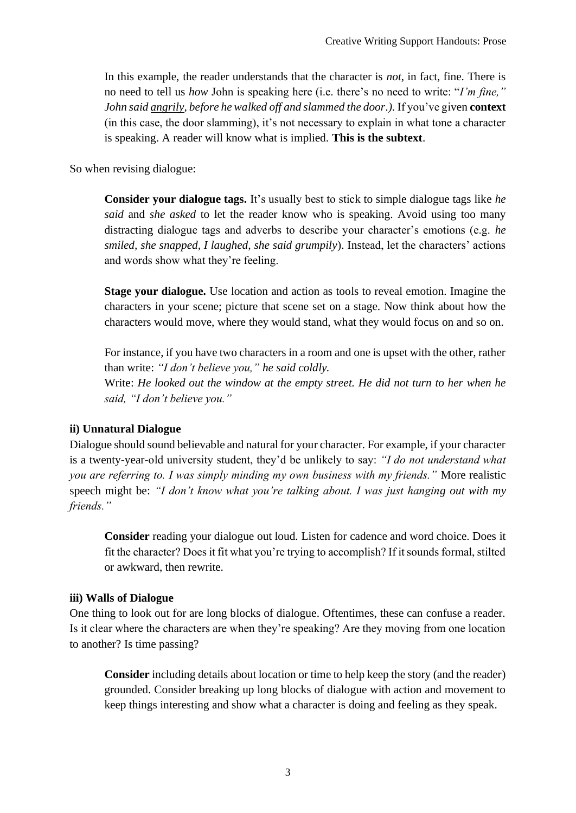In this example, the reader understands that the character is *not*, in fact, fine. There is no need to tell us *how* John is speaking here (i.e. there's no need to write: "*I'm fine," John said angrily, before he walked off and slammed the door.).* If you've given **context**  (in this case, the door slamming), it's not necessary to explain in what tone a character is speaking. A reader will know what is implied. **This is the subtext**.

So when revising dialogue:

**Consider your dialogue tags.** It's usually best to stick to simple dialogue tags like *he said* and *she asked* to let the reader know who is speaking. Avoid using too many distracting dialogue tags and adverbs to describe your character's emotions (e.g. *he smiled, she snapped, I laughed, she said grumpily*). Instead, let the characters' actions and words show what they're feeling.

**Stage your dialogue.** Use location and action as tools to reveal emotion. Imagine the characters in your scene; picture that scene set on a stage. Now think about how the characters would move, where they would stand, what they would focus on and so on.

For instance, if you have two characters in a room and one is upset with the other, rather than write: *"I don't believe you," he said coldly.*  Write: *He looked out the window at the empty street. He did not turn to her when he said, "I don't believe you."*

#### **ii) Unnatural Dialogue**

Dialogue should sound believable and natural for your character. For example, if your character is a twenty-year-old university student, they'd be unlikely to say: *"I do not understand what you are referring to. I was simply minding my own business with my friends."* More realistic speech might be: *"I don't know what you're talking about. I was just hanging out with my friends."*

**Consider** reading your dialogue out loud. Listen for cadence and word choice. Does it fit the character? Does it fit what you're trying to accomplish? If it sounds formal, stilted or awkward, then rewrite.

#### **iii) Walls of Dialogue**

One thing to look out for are long blocks of dialogue. Oftentimes, these can confuse a reader. Is it clear where the characters are when they're speaking? Are they moving from one location to another? Is time passing?

**Consider** including details about location or time to help keep the story (and the reader) grounded. Consider breaking up long blocks of dialogue with action and movement to keep things interesting and show what a character is doing and feeling as they speak.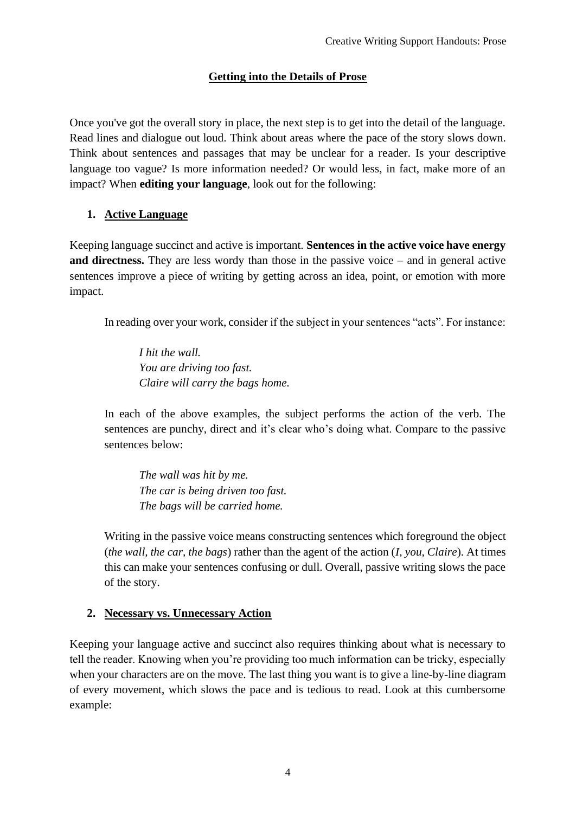# **Getting into the Details of Prose**

Once you've got the overall story in place, the next step is to get into the detail of the language. Read lines and dialogue out loud. Think about areas where the pace of the story slows down. Think about sentences and passages that may be unclear for a reader. Is your descriptive language too vague? Is more information needed? Or would less, in fact, make more of an impact? When **editing your language**, look out for the following:

# **1. Active Language**

Keeping language succinct and active is important. **Sentences in the active voice have energy and directness.** They are less wordy than those in the passive voice – and in general active sentences improve a piece of writing by getting across an idea, point, or emotion with more impact.

In reading over your work, consider if the subject in your sentences "acts". For instance:

*I hit the wall. You are driving too fast. Claire will carry the bags home.*

In each of the above examples, the subject performs the action of the verb. The sentences are punchy, direct and it's clear who's doing what. Compare to the passive sentences below:

*The wall was hit by me. The car is being driven too fast. The bags will be carried home.*

Writing in the passive voice means constructing sentences which foreground the object (*the wall, the car, the bags*) rather than the agent of the action (*I, you, Claire*). At times this can make your sentences confusing or dull. Overall, passive writing slows the pace of the story.

# **2. Necessary vs. Unnecessary Action**

Keeping your language active and succinct also requires thinking about what is necessary to tell the reader. Knowing when you're providing too much information can be tricky, especially when your characters are on the move. The last thing you want is to give a line-by-line diagram of every movement, which slows the pace and is tedious to read. Look at this cumbersome example: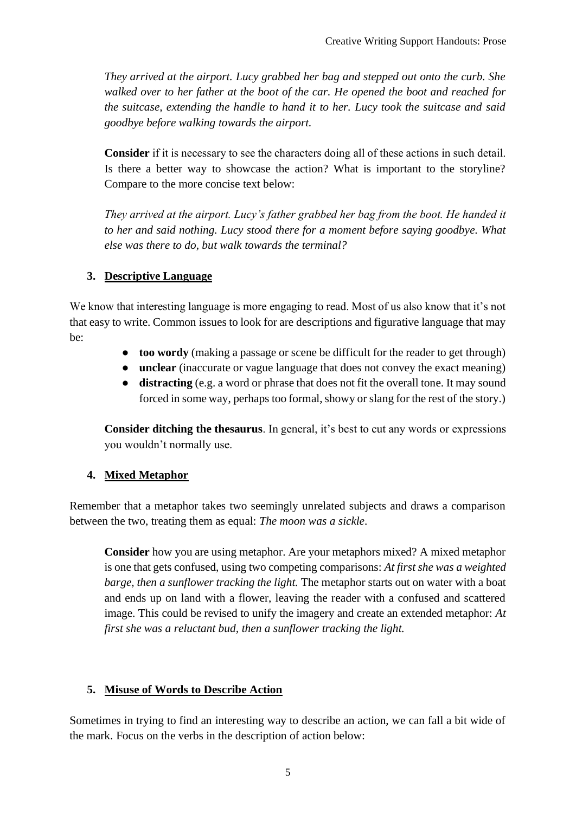*They arrived at the airport. Lucy grabbed her bag and stepped out onto the curb. She walked over to her father at the boot of the car. He opened the boot and reached for the suitcase, extending the handle to hand it to her. Lucy took the suitcase and said goodbye before walking towards the airport.*

**Consider** if it is necessary to see the characters doing all of these actions in such detail. Is there a better way to showcase the action? What is important to the storyline? Compare to the more concise text below:

*They arrived at the airport. Lucy's father grabbed her bag from the boot. He handed it to her and said nothing. Lucy stood there for a moment before saying goodbye. What else was there to do, but walk towards the terminal?*

# **3. Descriptive Language**

We know that interesting language is more engaging to read. Most of us also know that it's not that easy to write. Common issues to look for are descriptions and figurative language that may be:

- **too wordy** (making a passage or scene be difficult for the reader to get through)
- **unclear** (inaccurate or vague language that does not convey the exact meaning)
- **distracting** (e.g. a word or phrase that does not fit the overall tone. It may sound forced in some way, perhaps too formal, showy or slang for the rest of the story.)

**Consider ditching the thesaurus**. In general, it's best to cut any words or expressions you wouldn't normally use.

# **4. Mixed Metaphor**

Remember that a metaphor takes two seemingly unrelated subjects and draws a comparison between the two, treating them as equal: *The moon was a sickle*.

**Consider** how you are using metaphor. Are your metaphors mixed? A mixed metaphor is one that gets confused, using two competing comparisons: *At first she was a weighted barge, then a sunflower tracking the light.* The metaphor starts out on water with a boat and ends up on land with a flower, leaving the reader with a confused and scattered image. This could be revised to unify the imagery and create an extended metaphor: *At first she was a reluctant bud, then a sunflower tracking the light.*

# **5. Misuse of Words to Describe Action**

Sometimes in trying to find an interesting way to describe an action, we can fall a bit wide of the mark. Focus on the verbs in the description of action below: